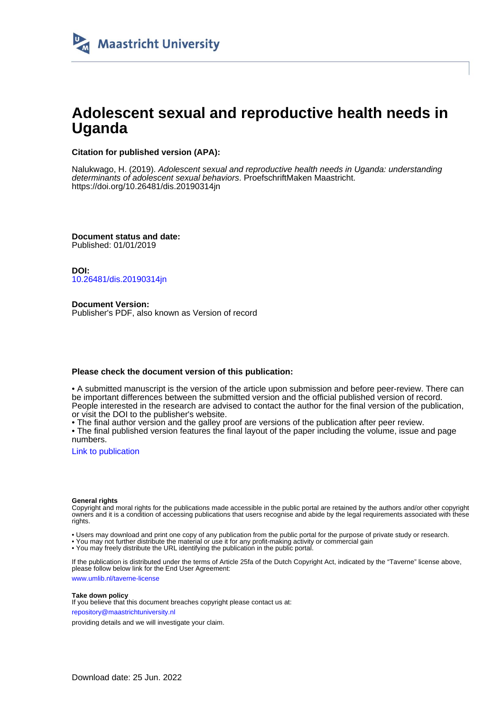

# **Adolescent sexual and reproductive health needs in Uganda**

## **Citation for published version (APA):**

Nalukwago, H. (2019). Adolescent sexual and reproductive health needs in Uganda: understanding determinants of adolescent sexual behaviors. ProefschriftMaken Maastricht. <https://doi.org/10.26481/dis.20190314jn>

**Document status and date:** Published: 01/01/2019

**DOI:** [10.26481/dis.20190314jn](https://doi.org/10.26481/dis.20190314jn)

**Document Version:** Publisher's PDF, also known as Version of record

## **Please check the document version of this publication:**

• A submitted manuscript is the version of the article upon submission and before peer-review. There can be important differences between the submitted version and the official published version of record. People interested in the research are advised to contact the author for the final version of the publication, or visit the DOI to the publisher's website.

• The final author version and the galley proof are versions of the publication after peer review.

• The final published version features the final layout of the paper including the volume, issue and page numbers.

[Link to publication](https://cris.maastrichtuniversity.nl/en/publications/37062d65-e5dd-4e79-99fa-25b5aae32e6c)

#### **General rights**

Copyright and moral rights for the publications made accessible in the public portal are retained by the authors and/or other copyright owners and it is a condition of accessing publications that users recognise and abide by the legal requirements associated with these rights.

• Users may download and print one copy of any publication from the public portal for the purpose of private study or research.

• You may not further distribute the material or use it for any profit-making activity or commercial gain

• You may freely distribute the URL identifying the publication in the public portal.

If the publication is distributed under the terms of Article 25fa of the Dutch Copyright Act, indicated by the "Taverne" license above, please follow below link for the End User Agreement:

www.umlib.nl/taverne-license

### **Take down policy**

If you believe that this document breaches copyright please contact us at: repository@maastrichtuniversity.nl

providing details and we will investigate your claim.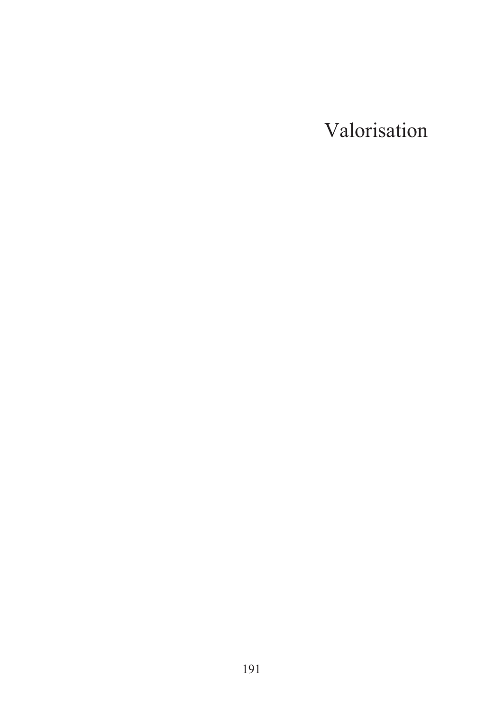Valorisation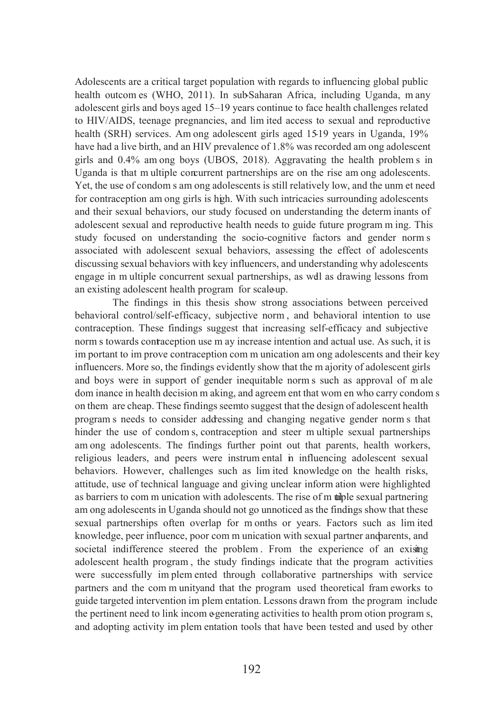Adolescents are a critical target population with regards to influencing global public health outcomes (WHO, 2011). In sub-Saharan Africa, including Uganda, many adolescent girls and boys aged 15–19 years continue to face health challenges related to HIV/AIDS, teenage pregnancies, and limited access to sexual and reproductive health (SRH) services. Among adolescent girls aged 15-19 years in Uganda, 19% have had a live birth, and an HIV prevalence of 1.8% was recorded among adolescent girls and 0.4% among boys (UBOS, 2018). Aggravating the health problems in Uganda is that multiple concurrent partnerships are on the rise among adolescents. Yet, the use of condoms among adolescents is still relatively low, and the unmet need for contraception among girls is high. With such intricacies surrounding adolescents and their sexual behaviors, our study focused on understanding the determinants of adolescent sexual and reproductive health needs to guide future programming. This study focused on understanding the socio-cognitive factors and gender norms associated with adolescent sexual behaviors, assessing the effect of adolescents discussing sexual behaviors with key influencers, and understanding why adolescents engage in multiple concurrent sexual partnerships, as well as drawing lessons from an existing adolescent health program for scale-up.

The findings in this thesis show strong associations between perceived behavioral control/self-efficacy, subjective norm, and behavioral intention to use contraception. These findings suggest that increasing self-efficacy and subjective norms towards contraception use may increase intention and actual use. As such, it is important to improve contraception communication among adolescents and their key influencers. More so, the findings evidently show that the majority of adolescent girls and boys were in support of gender inequitable norms such as approval of male dominance in health decision making, and agreement that women who carry condoms on them are cheap. These findings seem to suggest that the design of adolescent health programs needs to consider addressing and changing negative gender norms that hinder the use of condoms, contraception and steer multiple sexual partnerships among adolescents. The findings further point out that parents, health workers, religious leaders, and peers were instrumental in influencing adolescent sexual behaviors. However, challenges such as limited knowledge on the health risks, attitude, use of technical language and giving unclear information were highlighted as barriers to communication with adolescents. The rise of multiple sexual partnering among adolescents in Uganda should not go unnoticed as the findings show that these sexual partnerships often overlap for months or years. Factors such as limited knowledge, peer influence, poor communication with sexual partner and parents, and societal indifference steered the problem. From the experience of an existing adolescent health program, the study findings indicate that the program activities were successfully implemented through collaborative partnerships with service partners and the community and that the program used theoretical frameworks to guide targeted intervention implementation. Lessons drawn from the program include the pertinent need to link income-generating activities to health promotion programs, and adopting activity implementation tools that have been tested and used by other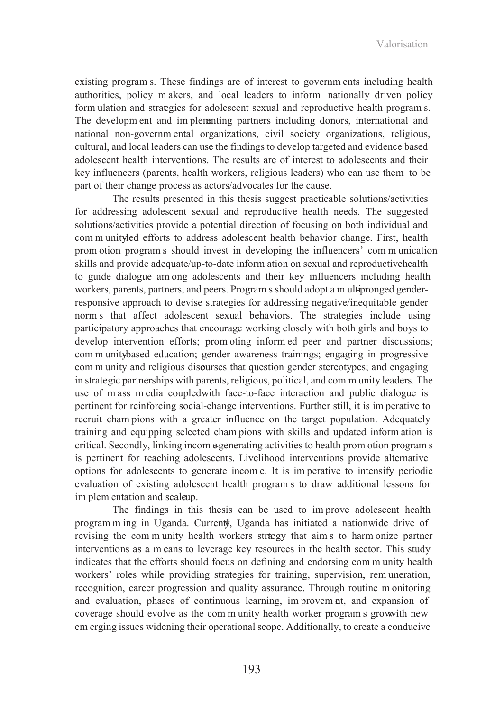existing programs. These findings are of interest to governments including health authorities, policy makers, and local leaders to inform nationally driven policy formulation and strategies for adolescent sexual and reproductive health programs. The development and implementing partners including donors, international and national non-governmental organizations, civil society organizations, religious, cultural, and local leaders can use the findings to develop targeted and evidence based adolescent health interventions. The results are of interest to adolescents and their key influencers (parents, health workers, religious leaders) who can use them to be part of their change process as actors/advocates for the cause.

The results presented in this thesis suggest practicable solutions/activities for addressing adolescent sexual and reproductive health needs. The suggested solutions/activities provide a potential direction of focusing on both individual and community-led efforts to address adolescent health behavior change. First, health promotion programs should invest in developing the influencers' communication skills and provide adequate/up-to-date information on sexual and reproductive health to guide dialogue among adolescents and their key influencers including health workers, parents, partners, and peers. Programs should adopt a multi-pronged genderresponsive approach to devise strategies for addressing negative/inequitable gender norms that affect adolescent sexual behaviors. The strategies include using participatory approaches that encourage working closely with both girls and boys to develop intervention efforts; promoting informed peer and partner discussions; community-based education; gender awareness trainings; engaging in progressive community and religious discourses that question gender stereotypes; and engaging in strategic partnerships with parents, religious, political, and community leaders. The use of mass media coupled with face-to-face interaction and public dialogue is pertinent for reinforcing social-change interventions. Further still, it is imperative to recruit champions with a greater influence on the target population. Adequately training and equipping selected champions with skills and updated information is critical. Secondly, linking income-generating activities to health promotion programs is pertinent for reaching adolescents. Livelihood interventions provide alternative options for adolescents to generate income. It is imperative to intensify periodic evaluation of existing adolescent health programs to draw additional lessons for implementation and scale-up.

The findings in this thesis can be used to improve adolescent health programming in Uganda. Currently, Uganda has initiated a nationwide drive of revising the community health workers strategy that aims to harmonize partner interventions as a means to leverage key resources in the health sector. This study indicates that the efforts should focus on defining and endorsing community health workers' roles while providing strategies for training, supervision, remuneration, recognition, career progression and quality assurance. Through routine monitoring and evaluation, phases of continuous learning, improvement, and expansion of coverage should evolve as the community health worker programs grow with new emerging issues widening their operational scope. Additionally, to create a conducive